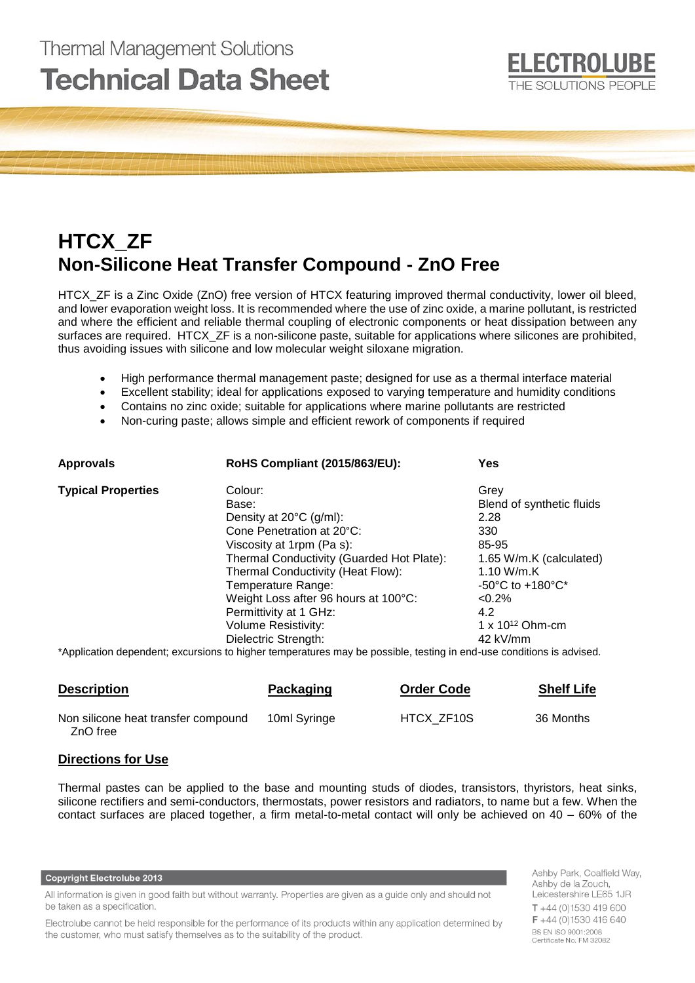# **Thermal Management Solutions Technical Data Sheet**



# **HTCX\_ZF Non-Silicone Heat Transfer Compound - ZnO Free**

HTCX\_ZF is a Zinc Oxide (ZnO) free version of HTCX featuring improved thermal conductivity, lower oil bleed, and lower evaporation weight loss. It is recommended where the use of zinc oxide, a marine pollutant, is restricted and where the efficient and reliable thermal coupling of electronic components or heat dissipation between any surfaces are required. HTCX\_ZF is a non-silicone paste, suitable for applications where silicones are prohibited, thus avoiding issues with silicone and low molecular weight siloxane migration.

- High performance thermal management paste; designed for use as a thermal interface material
- Excellent stability; ideal for applications exposed to varying temperature and humidity conditions
- Contains no zinc oxide; suitable for applications where marine pollutants are restricted
- Non-curing paste; allows simple and efficient rework of components if required

| <b>Approvals</b>          | <b>RoHS Compliant (2015/863/EU):</b>                                                                                 | <b>Yes</b>                           |
|---------------------------|----------------------------------------------------------------------------------------------------------------------|--------------------------------------|
| <b>Typical Properties</b> | Colour:                                                                                                              | Grev                                 |
|                           | Base:                                                                                                                | Blend of synthetic fluids            |
|                           | Density at $20^{\circ}$ C (g/ml):                                                                                    | 2.28                                 |
|                           | Cone Penetration at 20°C:                                                                                            | 330                                  |
|                           | Viscosity at 1rpm (Pa s):                                                                                            | 85-95                                |
|                           | Thermal Conductivity (Guarded Hot Plate):                                                                            | 1.65 W/m.K (calculated)              |
|                           | Thermal Conductivity (Heat Flow):                                                                                    | 1.10 W/m.K                           |
|                           | Temperature Range:                                                                                                   | $-50^{\circ}$ C to $+180^{\circ}$ C* |
|                           | Weight Loss after 96 hours at 100°C:                                                                                 | $< 0.2\%$                            |
|                           | Permittivity at 1 GHz:                                                                                               | 4.2                                  |
|                           | <b>Volume Resistivity:</b>                                                                                           | 1 x $10^{12}$ Ohm-cm                 |
|                           | Dielectric Strength:                                                                                                 | $42$ kV/mm                           |
|                           | *Application dependent: excursions to higher temperatures may be possible, testing in end-use conditions is advised. |                                      |

\*Application dependent; excursions to higher temperatures may be possible, testing in end-use conditions is advised.

| <b>Description</b>                              | Packaging    | <b>Order Code</b> | <b>Shelf Life</b> |
|-------------------------------------------------|--------------|-------------------|-------------------|
| Non silicone heat transfer compound<br>ZnO free | 10ml Syringe | HTCX ZF10S        | 36 Months         |

### **Directions for Use**

Thermal pastes can be applied to the base and mounting studs of diodes, transistors, thyristors, heat sinks, silicone rectifiers and semi-conductors, thermostats, power resistors and radiators, to name but a few. When the contact surfaces are placed together, a firm metal-to-metal contact will only be achieved on 40 – 60% of the

#### **Copyright Electrolube 2013**

All information is given in good faith but without warranty. Properties are given as a guide only and should not be taken as a specification.

Electrolube cannot be held responsible for the performance of its products within any application determined by the customer, who must satisfy themselves as to the suitability of the product.

Ashby Park Coalfield Way Ashby de la Zouch Leicestershire LE65 1JR  $T + 44(0)1530419600$  $F + 44(0)1530416640$ BS EN ISO 9001:2008 Certificate No. FM 32082